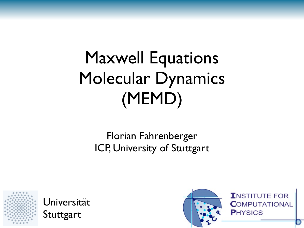# Maxwell Equations Molecular Dynamics (MEMD)

#### Florian Fahrenberger ICP, University of Stuttgart



Universität Stuttgart

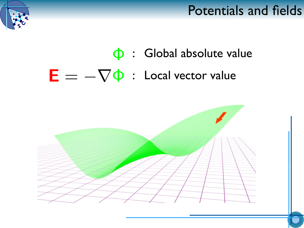#### Potentials and fields



## $\Phi$ : Global absolute value  $E = -\nabla \Phi$ : Local vector value

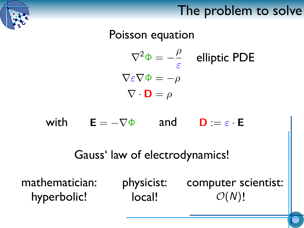### The problem to solve

Poisson equation  $\nabla^2 \Phi = -\frac{\rho}{\varepsilon}$  elliptic PDE  $\nabla \varepsilon \nabla \Phi = -\rho$  $\nabla \cdot \mathbf{D} = \rho$ 

with  $E = -\nabla \Phi$  and  $D := \varepsilon \cdot E$ 

Gauss' law of electrodynamics!

mathematician: hyperbolic!

physicist: local! computer scientist:  $O(N)!$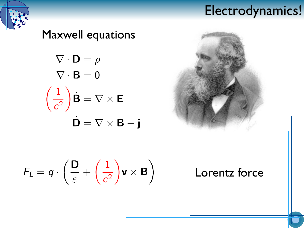#### Electrodynamics!







$$
F_L = q \cdot \left(\frac{\mathsf{D}}{\varepsilon} + \left(\frac{1}{c^2}\right) \mathsf{v} \times \mathsf{B}\right)
$$

Lorentz force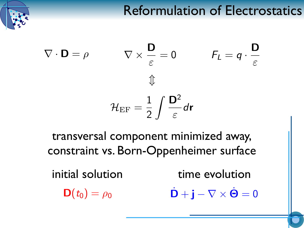## Reformulation of Electrostatics

$$
\nabla \cdot \mathbf{D} = \rho \qquad \nabla \times \frac{\mathbf{D}}{\varepsilon} = 0 \qquad F_L = q \cdot \frac{\mathbf{D}}{\varepsilon}
$$

$$
\Downarrow
$$

$$
\mathcal{H}_{\text{EF}} = \frac{1}{2} \int \frac{\mathbf{D}^2}{\varepsilon} d\mathbf{r}
$$

transversal component minimized away, constraint vs. Born-Oppenheimer surface

initial solution time evolution

 $\mathbf{D}(t_0) = \rho_0$   $\dot{\mathbf{D}} + \mathbf{j} - \nabla \times \dot{\mathbf{\Theta}} = 0$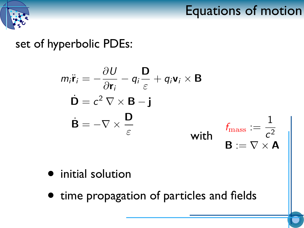

## Equations of motion

#### set of hyperbolic PDEs:

$$
m_i \ddot{\mathbf{r}}_i = -\frac{\partial U}{\partial \mathbf{r}_i} - q_i \frac{\mathbf{D}}{\varepsilon} + q_i \mathbf{v}_i \times \mathbf{B}
$$
  

$$
\mathbf{D} = c^2 \nabla \times \mathbf{B} - \mathbf{j}
$$
  

$$
\dot{\mathbf{B}} = -\nabla \times \frac{\mathbf{D}}{\varepsilon}
$$
 with 
$$
\mathbf{f}_{\text{mass}} := \frac{1}{c^2}
$$
  

$$
\mathbf{B} := \nabla \times \mathbf{A}
$$

- initial solution
- time propagation of particles and fields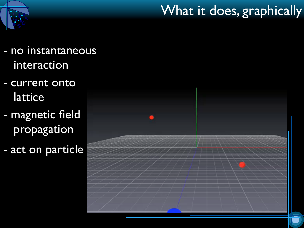## What it does, graphically

- 
- no instantaneous interaction
- current onto lattice
- magnetic field propagation
- act on particle

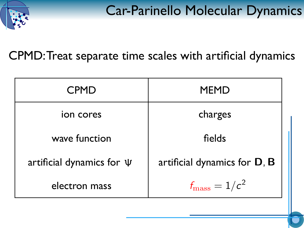

Car-Parinello Molecular Dynamics

CPMD: Treat separate time scales with artificial dynamics

| <b>CPMD</b>                    | <b>MEMD</b>                  |
|--------------------------------|------------------------------|
| ion cores                      | charges                      |
| wave function                  | fields                       |
| artificial dynamics for $\Psi$ | artificial dynamics for D, B |
| electron mass                  | $f_{\rm mass}=1/c^2$         |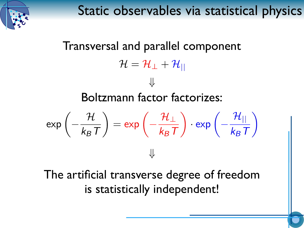

Static observables via statistical physics

Transversal and parallel component  $\mathcal{H}=\mathcal{H}_{\perp}+\mathcal{H}_{||}$ Boltzmann factor factorizes:  $\exp\left(-\frac{\mathcal{H}}{k_B T}\right) = \exp\left(-\frac{\mathcal{H}_{\perp}}{k_B T}\right) \cdot \exp\left(-\frac{\mathcal{H}_{\parallel}}{k_B T}\right)$  $\downarrow$ The artificial transverse degree of freedom is statistically independent!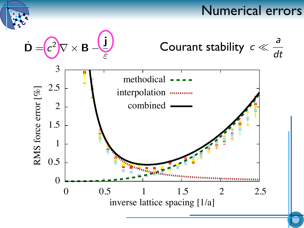#### Numerical errors

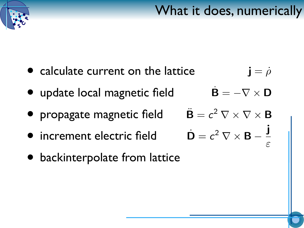



#### • calculate current on the lattice  $\mathbf{j} = \rho$

- $\dot{\mathbf{B}} = -\nabla \times \mathbf{D}$ • update local magnetic field
- propagate magnetic field
- increment electric field
- backinterpolate from lattice

 $\ddot{\mathbf{B}} = c^2 \nabla \times \nabla \times \mathbf{B}$  $\dot{\mathbf{D}} = c^2 \nabla \times \mathbf{B} - \frac{\mathbf{j}}{c}$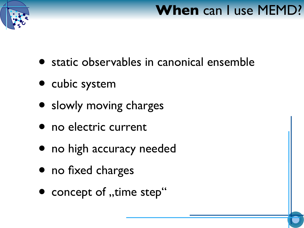

## **When** can I use MEMD?

- static observables in canonical ensemble
- cubic system
- slowly moving charges
- no electric current
- no high accuracy needed
- no fixed charges
- concept of "time step"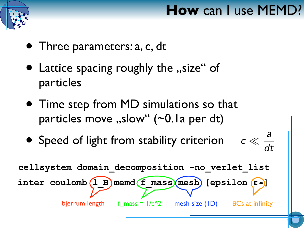

## **How** can I use MEMD?

- Three parameters: a, c, dt
- Lattice spacing roughly the "size" of particles
- Time step from MD simulations so that particles move  $,$ slow" (~0.1a per dt)
- $c \ll \frac{d}{dt}$ • Speed of light from stability criterion